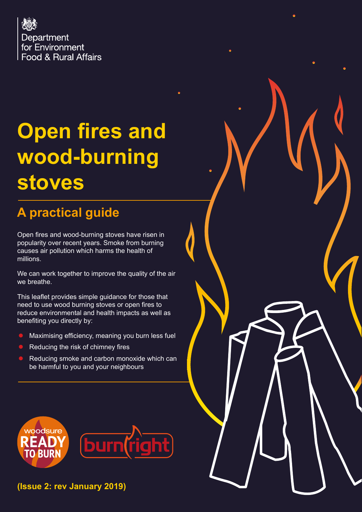

# **Open fires and wood-burning stoves**

## **A practical guide**

Open fires and wood-burning stoves have risen in popularity over recent years. Smoke from burning causes air pollution which harms the health of millions.

We can work together to improve the quality of the air we breathe.

This leaflet provides simple guidance for those that need to use wood burning stoves or open fires to reduce environmental and health impacts as well as benefiting you directly by:

- Maximising efficiency, meaning you burn less fuel
- Reducing the risk of chimney fires
- Reducing smoke and carbon monoxide which can be harmful to you and your neighbours



**(Issue 2: rev January 2019)**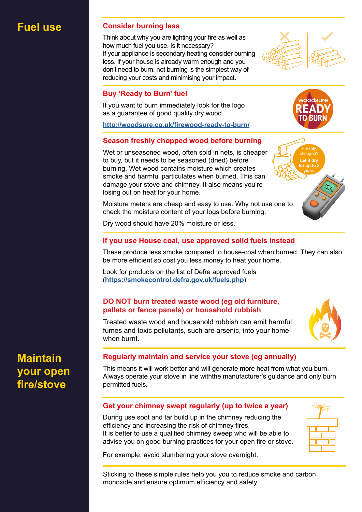### **Fuel use Consider burning less**

Think about why you are lighting your fire as well as how much fuel you use. Is it necessary? If your appliance is secondary heating consider burning less. If your house is already warm enough and you don't need to burn, not burning is the simplest way of reducing your costs and minimising your impact.



#### **Buy 'Ready to Burn' fuel**

If you want to burn immediately look for the logo as a guarantee of good quality dry wood.

**<http://woodsure.co.uk/firewood-ready-to-burn/>**

#### **Season freshly chopped wood before burning**

Wet or unseasoned wood, often sold in nets, is cheaper to buy, but it needs to be seasoned (dried) before burning. Wet wood contains moisture which creates smoke and harmful particulates when burned. This can damage your stove and chimney. It also means you're losing out on heat for your home.

Moisture meters are cheap and easy to use. Why not use one to check the moisture content of your logs before burning.



Dry wood should have 20% moisture or less.

#### **If you use House coal, use approved solid fuels instead**

These produce less smoke compared to house-coal when burned. They can also be more efficient so cost you less money to heat your home.

Look for products on the list of Defra approved fuels (**<https://smokecontrol.defra.gov.uk/fuels.php>**)

#### **DO NOT burn treated waste wood (eg old furniture, pallets or fence panels) or household rubbish**

Treated waste wood and household rubbish can emit harmful fumes and toxic pollutants, such are arsenic, into your home when burnt.



**Maintain your open fire/stove**

#### **Regularly maintain and service your stove (eg annually)**

This means it will work better and will generate more heat from what you burn. Always operate your stove in line withthe manufacturer's guidance and only burn permitted fuels.

#### **Get your chimney swept regularly (up to twice a year)**

During use soot and tar build up in the chimney reducing the efficiency and increasing the risk of chimney fires. It is better to use a qualified chimney sweep who will be able to advise you on good burning practices for your open fire or stove.



Sticking to these simple rules help you you to reduce smoke and carbon monoxide and ensure optimum efficiency and safety.



woodsure